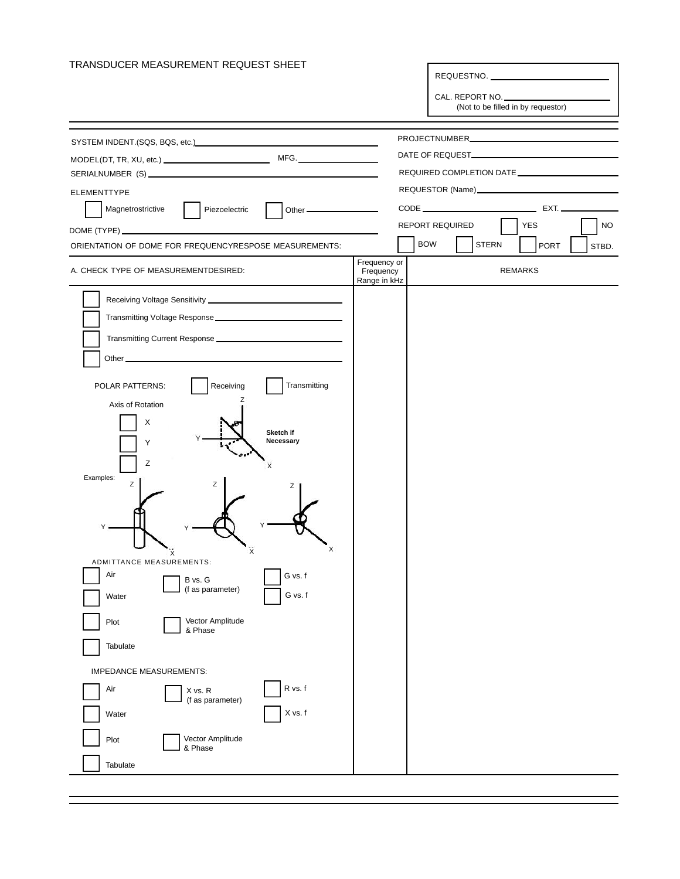| TRANSDUCER MEASUREMENT REQUEST SHEET                                                                                                                                                                                                 |                           | REQUESTNO.                 |                                    |  |
|--------------------------------------------------------------------------------------------------------------------------------------------------------------------------------------------------------------------------------------|---------------------------|----------------------------|------------------------------------|--|
|                                                                                                                                                                                                                                      |                           |                            |                                    |  |
|                                                                                                                                                                                                                                      |                           | CAL. REPORT NO.            | (Not to be filled in by requestor) |  |
|                                                                                                                                                                                                                                      |                           |                            |                                    |  |
| SYSTEM INDENT.(SQS, BQS, etc.)<br>SYSTEM INDENT.(SQS, BQS, etc.)                                                                                                                                                                     |                           |                            |                                    |  |
|                                                                                                                                                                                                                                      |                           |                            |                                    |  |
|                                                                                                                                                                                                                                      |                           |                            |                                    |  |
| <b>ELEMENTTYPE</b><br>Magnetrostrictive<br>Piezoelectric                                                                                                                                                                             |                           |                            | CODE EXT.                          |  |
|                                                                                                                                                                                                                                      |                           | REPORT REQUIRED            | YES<br>NO.                         |  |
| ORIENTATION OF DOME FOR FREQUENCYRESPOSE MEASUREMENTS:                                                                                                                                                                               |                           | <b>BOW</b><br><b>STERN</b> | PORT<br>STBD.                      |  |
|                                                                                                                                                                                                                                      | Frequency or              |                            |                                    |  |
| A. CHECK TYPE OF MEASUREMENTDESIRED:                                                                                                                                                                                                 | Frequency<br>Range in kHz |                            | <b>REMARKS</b>                     |  |
|                                                                                                                                                                                                                                      |                           |                            |                                    |  |
| Transmitting Voltage Response                                                                                                                                                                                                        |                           |                            |                                    |  |
|                                                                                                                                                                                                                                      |                           |                            |                                    |  |
| Other <b>contract and contract and contract and contract of the contract of the contract of the contract of the contract of the contract of the contract of the contract of the contract of the contract of the contract of the </b> |                           |                            |                                    |  |
| Transmitting<br>Receiving<br>POLAR PATTERNS:                                                                                                                                                                                         |                           |                            |                                    |  |
| z<br>Axis of Rotation                                                                                                                                                                                                                |                           |                            |                                    |  |
| х                                                                                                                                                                                                                                    |                           |                            |                                    |  |
| Sketch if<br>Necessary<br>Υ                                                                                                                                                                                                          |                           |                            |                                    |  |
| Ζ<br>χ                                                                                                                                                                                                                               |                           |                            |                                    |  |
| Examples:<br>z<br>Ζ                                                                                                                                                                                                                  |                           |                            |                                    |  |
| z                                                                                                                                                                                                                                    |                           |                            |                                    |  |
|                                                                                                                                                                                                                                      |                           |                            |                                    |  |
|                                                                                                                                                                                                                                      |                           |                            |                                    |  |
|                                                                                                                                                                                                                                      |                           |                            |                                    |  |
| ADMITTANCE MEASUREMENTS:<br>Air<br>G vs. f                                                                                                                                                                                           |                           |                            |                                    |  |
| B vs. G<br>(f as parameter)<br>G vs. f<br>Water                                                                                                                                                                                      |                           |                            |                                    |  |
|                                                                                                                                                                                                                                      |                           |                            |                                    |  |
| Vector Amplitude<br>Plot<br>& Phase                                                                                                                                                                                                  |                           |                            |                                    |  |
| Tabulate                                                                                                                                                                                                                             |                           |                            |                                    |  |
| <b>IMPEDANCE MEASUREMENTS:</b>                                                                                                                                                                                                       |                           |                            |                                    |  |
| R vs. f<br>Air<br>X vs. R<br>(f as parameter)                                                                                                                                                                                        |                           |                            |                                    |  |
| X vs. f<br>Water                                                                                                                                                                                                                     |                           |                            |                                    |  |
| Vector Amplitude<br>Plot<br>& Phase                                                                                                                                                                                                  |                           |                            |                                    |  |
| Tabulate                                                                                                                                                                                                                             |                           |                            |                                    |  |
|                                                                                                                                                                                                                                      |                           |                            |                                    |  |